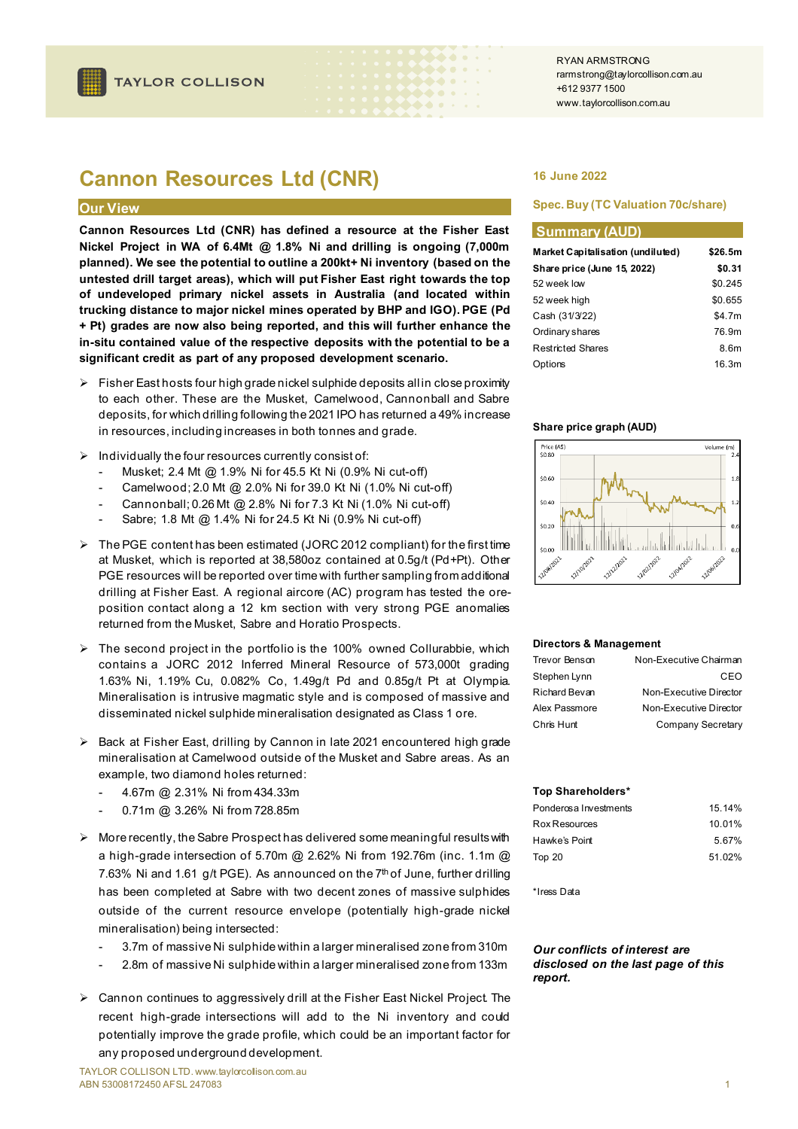# **Cannon Resources Ltd (CNR)**

## **Our View**

**Cannon Resources Ltd (CNR) has defined a resource at the Fisher East Nickel Project in WA of 6.4Mt @ 1.8% Ni and drilling is ongoing (7,000m planned). We see the potential to outline a 200kt+ Ni inventory (based on the untested drill target areas), which will put Fisher East right towards the top of undeveloped primary nickel assets in Australia (and located within trucking distance to major nickel mines operated by BHP and IGO). PGE (Pd + Pt) grades are now also being reported, and this will further enhance the in-situ contained value of the respective deposits with the potential to be a significant credit as part of any proposed development scenario.**

- $\triangleright$  Fisher East hosts four high grade nickel sulphide deposits all in close proximity to each other. These are the Musket, Camelwood, Cannonball and Sabre deposits, for which drilling following the 2021 IPO has returned a 49% increase in resources, including increases in both tonnes and grade.
- $\triangleright$  Individually the four resources currently consist of:
	- Musket; 2.4 Mt @ 1.9% Ni for 45.5 Kt Ni (0.9% Ni cut-off)
	- Camelwood; 2.0 Mt @ 2.0% Ni for 39.0 Kt Ni (1.0% Ni cut-off)
	- Cannonball; 0.26 Mt @ 2.8% Ni for 7.3 Kt Ni (1.0% Ni cut-off)
	- Sabre; 1.8 Mt @ 1.4% Ni for 24.5 Kt Ni (0.9% Ni cut-off)
- $\triangleright$  The PGE content has been estimated (JORC 2012 compliant) for the first time at Musket, which is reported at 38,580oz contained at 0.5g/t (Pd+Pt). Other PGE resources will be reported over time with further sampling from additional drilling at Fisher East. A regional aircore (AC) program has tested the oreposition contact along a 12 km section with very strong PGE anomalies returned from the Musket, Sabre and Horatio Prospects.
- The second project in the portfolio is the 100% owned Collurabbie, which contains a JORC 2012 Inferred Mineral Resource of 573,000t grading 1.63% Ni, 1.19% Cu, 0.082% Co, 1.49g/t Pd and 0.85g/t Pt at Olympia. Mineralisation is intrusive magmatic style and is composed of massive and disseminated nickel sulphide mineralisation designated as Class 1 ore.
- $\triangleright$  Back at Fisher East, drilling by Cannon in late 2021 encountered high grade mineralisation at Camelwood outside of the Musket and Sabre areas. As an example, two diamond holes returned:
	- 4.67m @ 2.31% Ni from 434.33m
	- 0.71m @ 3.26% Ni from 728.85m
- $\triangleright$  More recently, the Sabre Prospect has delivered some meaningful results with a high-grade intersection of 5.70m @ 2.62% Ni from 192.76m (inc. 1.1m @ 7.63% Ni and 1.61 g/t PGE). As announced on the  $7<sup>th</sup>$  of June, further drilling has been completed at Sabre with two decent zones of massive sulphides outside of the current resource envelope (potentially high-grade nickel mineralisation) being intersected:
	- 3.7m of massive Ni sulphide within a larger mineralised zone from 310m
	- 2.8m of massive Ni sulphide within a larger mineralised zone from 133m
- Cannon continues to aggressively drill at the Fisher East Nickel Project. The recent high-grade intersections will add to the Ni inventory and could potentially improve the grade profile, which could be an important factor for any proposed underground development.

### **16 June 2022**

### **Spec. Buy (TC Valuation 70c/share)**

### **Summary (AUD)**

| Market Capitalisation (undiluted) | \$26.5m |  |
|-----------------------------------|---------|--|
| Share price (June 15, 2022)       | \$0.31  |  |
| 52 week low                       | \$0.245 |  |
| 52 week high                      | \$0.655 |  |
| Cash (31/3/22)                    | \$4.7m  |  |
| Ordinary shares                   | 76.9m   |  |
| <b>Restricted Shares</b>          | 8.6m    |  |
| Options                           | 16.3m   |  |

### **Share price graph (AUD)**



### **Directors & Management**

| Trevor Benson | Non-Executive Chairman |
|---------------|------------------------|
| Stephen Lynn  | CEO                    |
| Richard Bevan | Non-Executive Director |
| Alex Passmore | Non-Executive Director |
| Chris Hunt    | Company Secretary      |

### **Top Shareholders\***

| Ponderosa Investments | 15.14% |
|-----------------------|--------|
| Rox Resources         | 10.01% |
| Hawke's Point         | 5.67%  |
| Top 20                | 51 02% |

\*Iress Data

### *Our conflicts of interest are disclosed on the last page of this report.*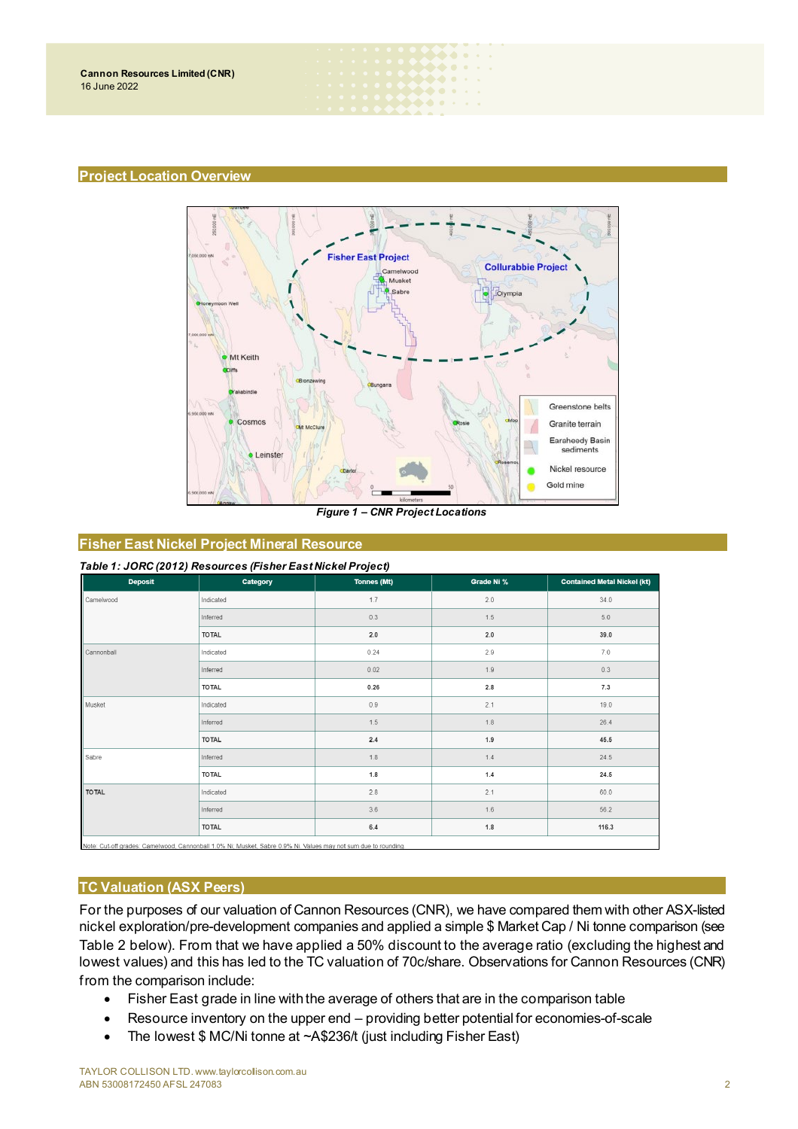### **Project Location Overview**



 $\bullet\bullet\bullet$  $\bullet\bullet\bullet\bullet\cdot$ . . . .

*Figure 1 – CNR Project Locations*

# **Fisher East Nickel Project Mineral Resource**

| Table 1: JORC (2012) Resources (Fisher East Nickel Project) |  |
|-------------------------------------------------------------|--|
|-------------------------------------------------------------|--|

| $\sim$<br>$\overline{\phantom{a}}$<br><b>Deposit</b> | . .<br>Category | $\overline{\phantom{a}}$<br><b>Tonnes (Mt)</b> | Grade Ni % | <b>Contained Metal Nickel (kt)</b> |
|------------------------------------------------------|-----------------|------------------------------------------------|------------|------------------------------------|
| Camelwood                                            | Indicated       | 1.7                                            | 2.0        | 34.0                               |
|                                                      | Inferred        | 0.3                                            | 1.5        | 5.0                                |
|                                                      | <b>TOTAL</b>    | $2.0\,$                                        | 2.0        | 39.0                               |
| Cannonball                                           | Indicated       | 0.24                                           | 2.9        | 7.0                                |
|                                                      | Inferred        | 0.02                                           | 1.9        | 0.3                                |
|                                                      | <b>TOTAL</b>    | 0.26                                           | $2.8\,$    | 7.3                                |
| Musket                                               | Indicated       | $0.9$                                          | 2.1        | 19.0                               |
|                                                      | Inferred        | 1.5                                            | 1.8        | 26.4                               |
|                                                      | <b>TOTAL</b>    | $2.4\,$                                        | 1.9        | 45.5                               |
| Sabre                                                | Inferred        | $1.8$                                          | 1.4        | 24.5                               |
|                                                      | <b>TOTAL</b>    | 1.8                                            | 1.4        | 24.5                               |
| <b>TOTAL</b>                                         | Indicated       | 2.8                                            | 2.1        | 60.0                               |
|                                                      | Inferred        | 3.6                                            | 1.6        | 56.2                               |
|                                                      | <b>TOTAL</b>    | 6.4                                            | 1.8        | 116.3                              |
|                                                      | .<br>.          | the contract of the contract of                |            |                                    |

N<sub>i</sub> : Camelwood, Cannonball 1.0% Ni; Musket, Sabre 0.9% Ni. Values ma

# **TC Valuation (ASX Peers)**

For the purposes of our valuation of Cannon Resources (CNR), we have compared them with other ASX-listed nickel exploration/pre-development companies and applied a simple \$ Market Cap / Ni tonne comparison (see Table 2 below). From that we have applied a 50% discount to the average ratio (excluding the highest and lowest values) and this has led to the TC valuation of 70c/share. Observations for Cannon Resources (CNR) from the comparison include:

- Fisher East grade in line with the average of others that are in the comparison table
- Resource inventory on the upper end providing better potential for economies-of-scale
- The lowest \$ MC/Ni tonne at ~A\$236/t (just including Fisher East)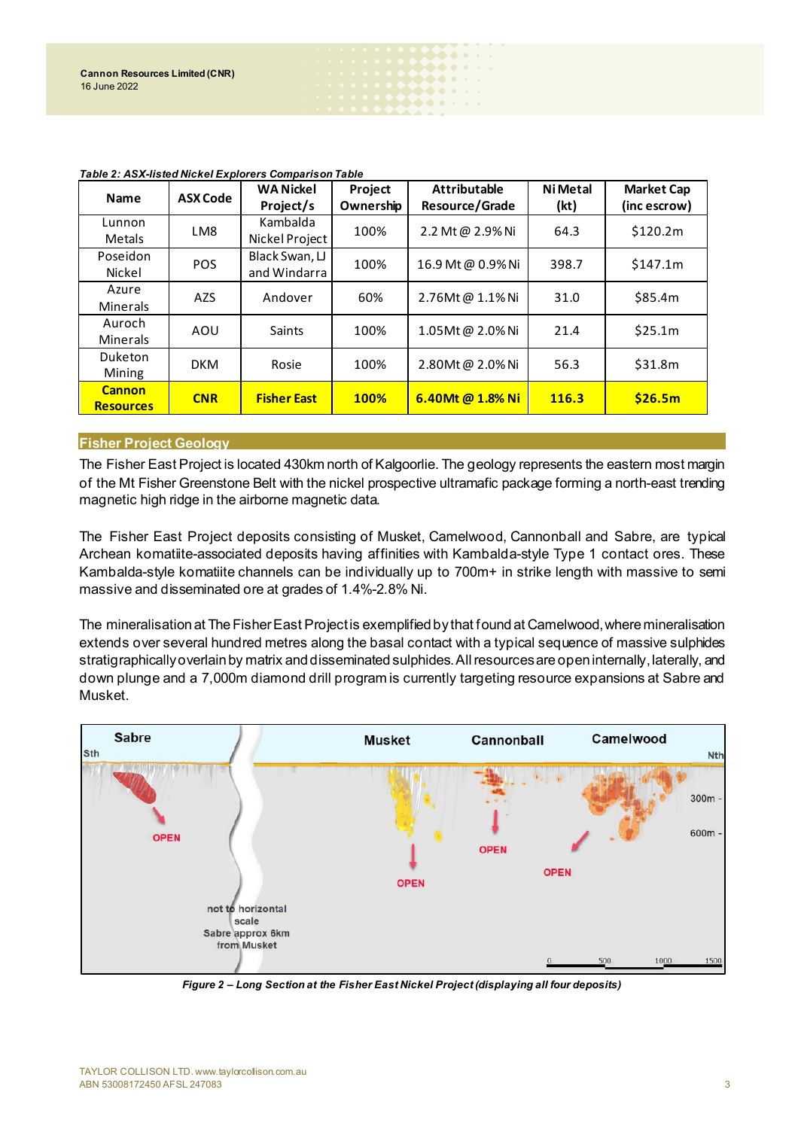| <b>Name</b>                       | <b>ASX Code</b> | <b>WA Nickel</b><br>Project/s  | Project<br>Ownership | <b>Attributable</b><br>Resource/Grade | <b>Ni Metal</b><br>(kt) | <b>Market Cap</b><br>(inc escrow) |
|-----------------------------------|-----------------|--------------------------------|----------------------|---------------------------------------|-------------------------|-----------------------------------|
| Lunnon<br><b>Metals</b>           | LM8             | Kambalda<br>Nickel Project     | 100%                 | 2.2 Mt @ 2.9% Ni                      | 64.3                    | \$120.2m                          |
| Poseidon<br>Nickel                | <b>POS</b>      | Black Swan, LJ<br>and Windarra | 100%                 | 16.9 Mt @ 0.9% Ni                     | 398.7                   | \$147.1m                          |
| Azure<br><b>Minerals</b>          | <b>AZS</b>      | Andover                        | 60%                  | 2.76Mt@ 1.1%Ni                        | 31.0                    | \$85.4m                           |
| Auroch<br><b>Minerals</b>         | AOU             | Saints                         | 100%                 | 1.05Mt@2.0%Ni                         | 21.4                    | \$25.1m                           |
| <b>Duketon</b><br>Mining          | <b>DKM</b>      | Rosie                          | 100%                 | 2.80Mt@2.0%Ni                         | 56.3                    | \$31.8m                           |
| <b>Cannon</b><br><b>Resources</b> | <b>CNR</b>      | <b>Fisher East</b>             | <b>100%</b>          | 6.40Mt @ 1.8% Ni                      | 116.3                   | \$26.5m                           |

 $\bullet\bullet\bullet\;\cdot$ . . . .

*Table 2: ASX-listed Nickel Explorers Comparison Table*

## **Fisher Project Geology**

The Fisher East Project is located 430km north of Kalgoorlie. The geology represents the eastern most margin of the Mt Fisher Greenstone Belt with the nickel prospective ultramafic package forming a north-east trending magnetic high ridge in the airborne magnetic data.

The Fisher East Project deposits consisting of Musket, Camelwood, Cannonball and Sabre, are typical Archean komatiite-associated deposits having affinities with Kambalda-style Type 1 contact ores. These Kambalda-style komatiite channels can be individually up to 700m+ in strike length with massive to semi massive and disseminated ore at grades of 1.4%-2.8% Ni.

The mineralisation at The Fisher East Project is exemplified by that found at Camelwood, where mineralisation extends over several hundred metres along the basal contact with a typical sequence of massive sulphides stratigraphically overlain by matrix and disseminated sulphides.All resources are open internally, laterally, and down plunge and a 7,000m diamond drill program is currently targeting resource expansions at Sabre and Musket.



*Figure 2 – Long Section at the Fisher East Nickel Project (displaying all four deposits)*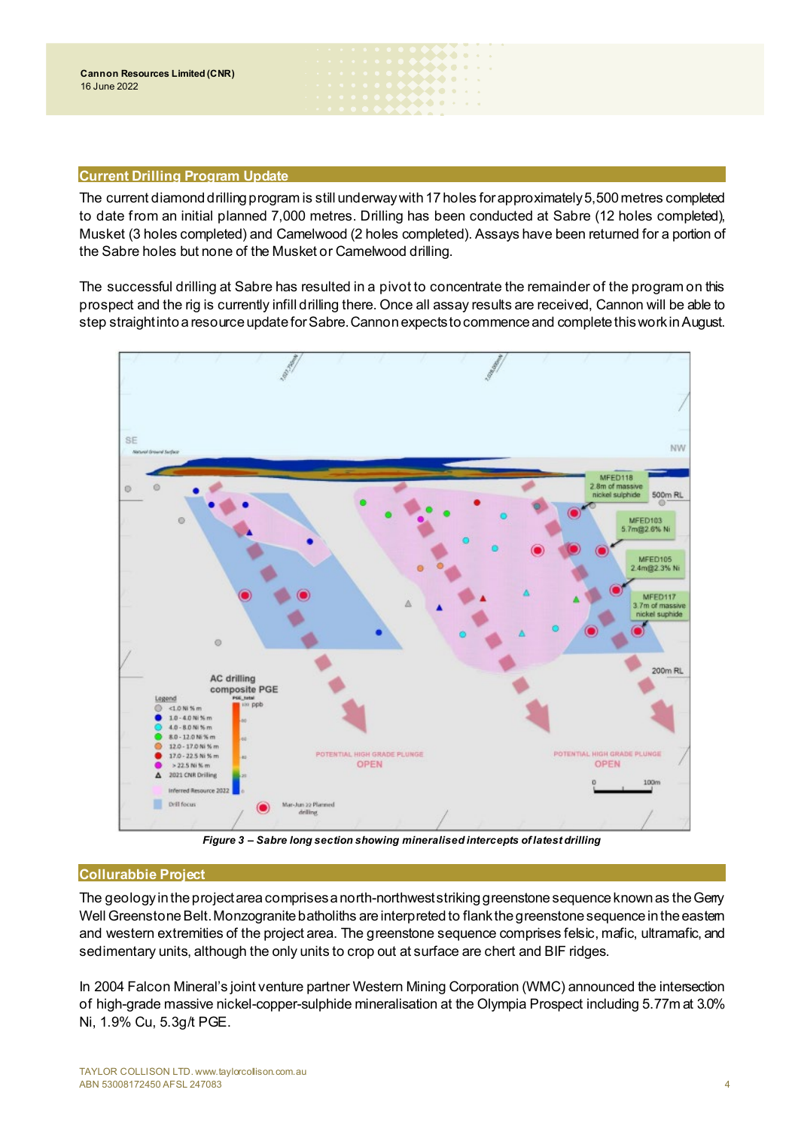## **Current Drilling Program Update**

The current diamond drilling program is still underway with 17 holes for approximately 5,500 metres completed to date from an initial planned 7,000 metres. Drilling has been conducted at Sabre (12 holes completed), Musket (3 holes completed) and Camelwood (2 holes completed). Assays have been returned for a portion of the Sabre holes but none of the Musket or Camelwood drilling.

 $\bullet\bullet\bullet$ . . . .

The successful drilling at Sabre has resulted in a pivot to concentrate the remainder of the program on this prospect and the rig is currently infill drilling there. Once all assay results are received, Cannon will be able to step straight into a resource update for Sabre. Cannon expects to commence and complete this work in August.



*Figure 3 – Sabre long section showing mineralised intercepts of latest drilling*

# **Collurabbie Project**

The geology in the project area comprises a north-northwest striking greenstone sequence known as the Gerry Well Greenstone Belt. Monzogranite batholiths are interpreted to flank the greenstone sequence in the eastern and western extremities of the project area. The greenstone sequence comprises felsic, mafic, ultramafic, and sedimentary units, although the only units to crop out at surface are chert and BIF ridges.

In 2004 Falcon Mineral's joint venture partner Western Mining Corporation (WMC) announced the intersection of high-grade massive nickel-copper-sulphide mineralisation at the Olympia Prospect including 5.77m at 3.0% Ni, 1.9% Cu, 5.3g/t PGE.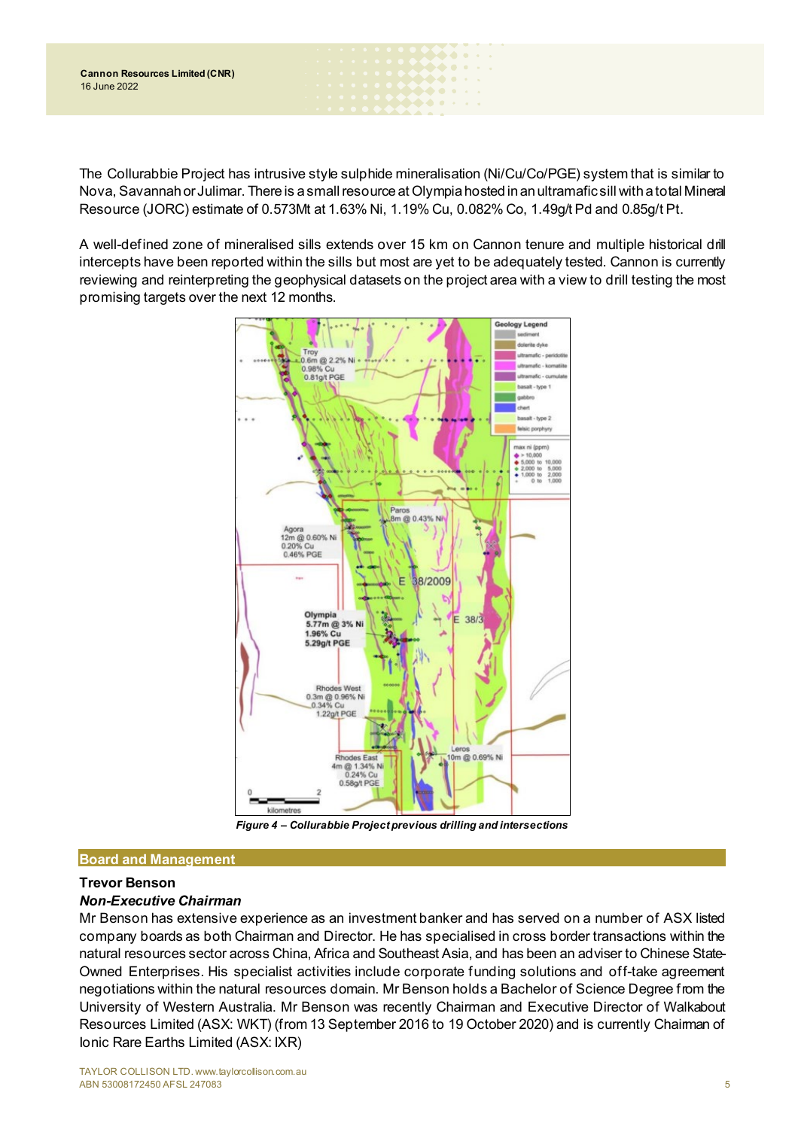The Collurabbie Project has intrusive style sulphide mineralisation (Ni/Cu/Co/PGE) system that is similar to Nova, Savannah or Julimar. There is a smallresource at Olympia hosted in an ultramafic sill with a total Mineral Resource (JORC) estimate of 0.573Mt at 1.63% Ni, 1.19% Cu, 0.082% Co, 1.49g/t Pd and 0.85g/t Pt.

 $\bullet\bullet\bullet$ . . . .

A well-defined zone of mineralised sills extends over 15 km on Cannon tenure and multiple historical drill intercepts have been reported within the sills but most are yet to be adequately tested. Cannon is currently reviewing and reinterpreting the geophysical datasets on the project area with a view to drill testing the most promising targets over the next 12 months.



*Figure 4 – Collurabbie Project previous drilling and intersections*

# **Board and Management**

# **Trevor Benson**

# *Non-Executive Chairman*

Mr Benson has extensive experience as an investment banker and has served on a number of ASX listed company boards as both Chairman and Director. He has specialised in cross border transactions within the natural resources sector across China, Africa and Southeast Asia, and has been an adviser to Chinese State-Owned Enterprises. His specialist activities include corporate funding solutions and off-take agreement negotiations within the natural resources domain. Mr Benson holds a Bachelor of Science Degree from the University of Western Australia. Mr Benson was recently Chairman and Executive Director of Walkabout Resources Limited (ASX: WKT) (from 13 September 2016 to 19 October 2020) and is currently Chairman of Ionic Rare Earths Limited (ASX: IXR)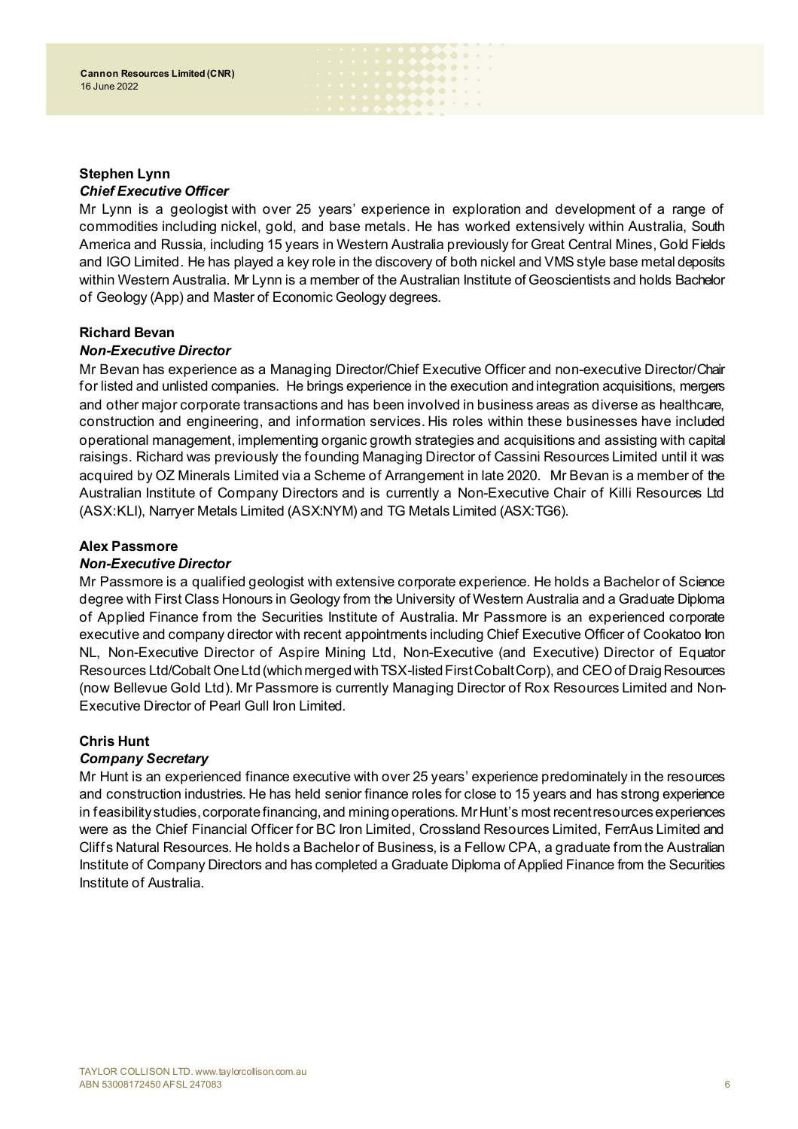## **Stephen Lynn** *Chief Executive Officer*

Mr Lynn is a geologist with over 25 years' experience in exploration and development of a range of commodities including nickel, gold, and base metals. He has worked extensively within Australia, South America and Russia, including 15 years in Western Australia previously for Great Central Mines, Gold Fields and IGO Limited. He has played a key role in the discovery of both nickel and VMS style base metal deposits within Western Australia. Mr Lynn is a member of the Australian Institute of Geoscientists and holds Bachelor of Geology (App) and Master of Economic Geology degrees.

. . . . . . **.....** . . . . . .

# **Richard Bevan**

# *Non-Executive Director*

Mr Bevan has experience as a Managing Director/Chief Executive Officer and non-executive Director/Chair for listed and unlisted companies. He brings experience in the execution and integration acquisitions, mergers and other major corporate transactions and has been involved in business areas as diverse as healthcare, construction and engineering, and information services. His roles within these businesses have included operational management, implementing organic growth strategies and acquisitions and assisting with capital raisings. Richard was previously the founding Managing Director of Cassini Resources Limited until it was acquired by OZ Minerals Limited via a Scheme of Arrangement in late 2020. Mr Bevan is a member of the Australian Institute of Company Directors and is currently a Non-Executive Chair of Killi Resources Ltd (ASX:KLI), Narryer Metals Limited (ASX:NYM) and TG Metals Limited (ASX:TG6).

# **Alex Passmore**

# *Non-Executive Director*

Mr Passmore is a qualified geologist with extensive corporate experience. He holds a Bachelor of Science degree with First Class Honours in Geology from the University of Western Australia and a Graduate Diploma of Applied Finance from the Securities Institute of Australia. Mr Passmore is an experienced corporate executive and company director with recent appointments including Chief Executive Officer of Cookatoo Iron NL, Non-Executive Director of Aspire Mining Ltd, Non-Executive (and Executive) Director of Equator Resources Ltd/Cobalt One Ltd (which merged with TSX-listed First Cobalt Corp), and CEO of Draig Resources (now Bellevue Gold Ltd). Mr Passmore is currently Managing Director of Rox Resources Limited and Non-Executive Director of Pearl Gull Iron Limited.

# **Chris Hunt**

# *Company Secretary*

Mr Hunt is an experienced finance executive with over 25 years' experience predominately in the resources and construction industries. He has held senior finance roles for close to 15 years and has strong experience in feasibility studies, corporate financing, and mining operations. Mr Hunt's most recent resources experiences were as the Chief Financial Officer for BC Iron Limited, Crossland Resources Limited, FerrAus Limited and Cliffs Natural Resources. He holds a Bachelor of Business, is a Fellow CPA, a graduate from the Australian Institute of Company Directors and has completed a Graduate Diploma of Applied Finance from the Securities Institute of Australia.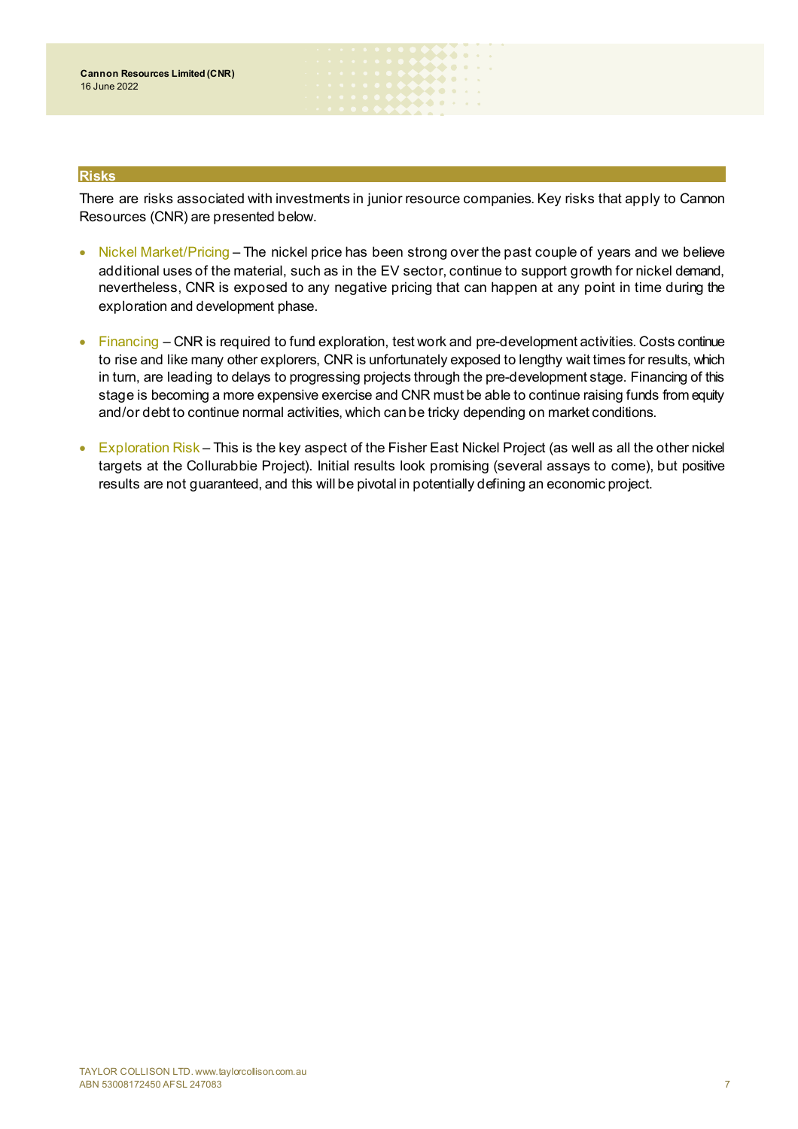### **Risks**

There are risks associated with investments in junior resource companies. Key risks that apply to Cannon Resources (CNR) are presented below.

 $\bullet\hspace{-0.7mm}\bullet\hspace{-0.7mm}\bullet\hspace{-0.7mm}\bullet\hspace{-0.7mm}\bullet\hspace{-0.7mm}\bullet$ *<u> Addisi</u>* **AAA** . .

- Nickel Market/Pricing The nickel price has been strong over the past couple of years and we believe additional uses of the material, such as in the EV sector, continue to support growth for nickel demand, nevertheless, CNR is exposed to any negative pricing that can happen at any point in time during the exploration and development phase.
- Financing CNR is required to fund exploration, test work and pre-development activities. Costs continue to rise and like many other explorers, CNR is unfortunately exposed to lengthy wait times for results, which in turn, are leading to delays to progressing projects through the pre-development stage. Financing of this stage is becoming a more expensive exercise and CNR must be able to continue raising funds from equity and/or debt to continue normal activities, which can be tricky depending on market conditions.
- Exploration Risk This is the key aspect of the Fisher East Nickel Project (as well as all the other nickel targets at the Collurabbie Project). Initial results look promising (several assays to come), but positive results are not guaranteed, and this will be pivotal in potentially defining an economic project.